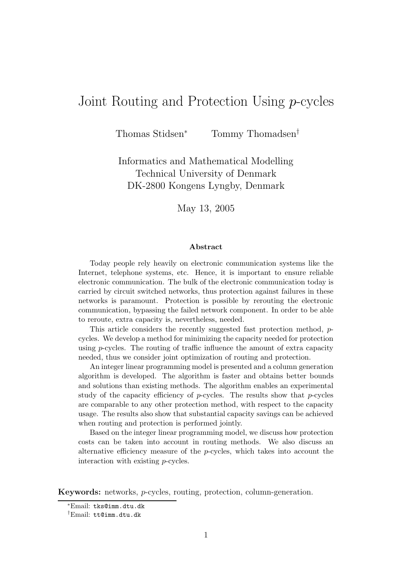# Joint Routing and Protection Using p-cycles

Thomas Stidsen<sup>∗</sup> Tommy Thomadsen<sup>†</sup>

Informatics and Mathematical Modelling Technical University of Denmark DK-2800 Kongens Lyngby, Denmark

May 13, 2005

#### **Abstract**

Today people rely heavily on electronic communication systems like the Internet, telephone systems, etc. Hence, it is important to ensure reliable electronic communication. The bulk of the electronic communication today is carried by circuit switched networks, thus protection against failures in these networks is paramount. Protection is possible by rerouting the electronic communication, bypassing the failed network component. In order to be able to reroute, extra capacity is, nevertheless, needed.

This article considers the recently suggested fast protection method, pcycles. We develop a method for minimizing the capacity needed for protection using  $p$ -cycles. The routing of traffic influence the amount of extra capacity needed, thus we consider joint optimization of routing and protection.

An integer linear programming model is presented and a column generation algorithm is developed. The algorithm is faster and obtains better bounds and solutions than existing methods. The algorithm enables an experimental study of the capacity efficiency of  $p$ -cycles. The results show that  $p$ -cycles are comparable to any other protection method, with respect to the capacity usage. The results also show that substantial capacity savings can be achieved when routing and protection is performed jointly.

Based on the integer linear programming model, we discuss how protection costs can be taken into account in routing methods. We also discuss an alternative efficiency measure of the  $p$ -cycles, which takes into account the interaction with existing p-cycles.

**Keywords:** networks, p-cycles, routing, protection, column-generation.

<sup>∗</sup>Email: tks@imm.dtu.dk

<sup>†</sup>Email: tt@imm.dtu.dk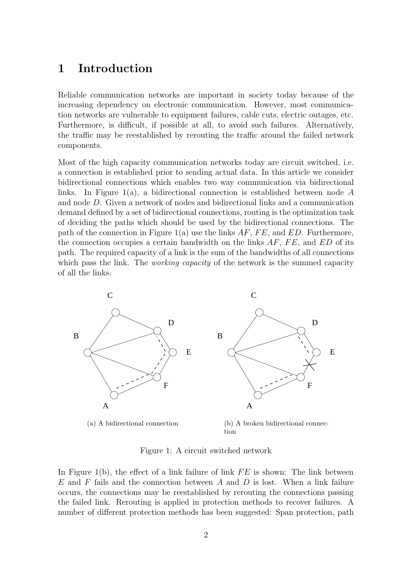## **1 Introduction**

Reliable communication networks are important in society today because of the increasing dependency on electronic communication. However, most communication networks are vulnerable to equipment failures, cable cuts, electric outages, etc. Furthermore, is difficult, if possible at all, to avoid such failures. Alternatively, the traffic may be reestablished by rerouting the traffic around the failed network components.

Most of the high capacity communication networks today are circuit switched, i.e. a connection is established prior to sending actual data. In this article we consider bidirectional connections which enables two way communication via bidirectional links. In Figure 1(a), a bidirectional connection is established between node A and node D. Given a network of nodes and bidirectional links and a communication demand defined by a set of bidirectional connections, routing is the optimization task of deciding the paths which should be used by the bidirectional connections. The path of the connection in Figure 1(a) use the links  $AF, FE$ , and  $ED$ . Furthermore, the connection occupies a certain bandwidth on the links  $AF$ ,  $FE$ , and  $ED$  of its path. The required capacity of a link is the sum of the bandwidths of all connections which pass the link. The *working capacity* of the network is the summed capacity of all the links.



Figure 1: A circuit switched network

In Figure 1(b), the effect of a link failure of link  $FE$  is shown: The link between  $E$  and  $F$  fails and the connection between  $A$  and  $D$  is lost. When a link failure occurs, the connections may be reestablished by rerouting the connections passing the failed link. Rerouting is applied in protection methods to recover failures. A number of different protection methods has been suggested: Span protection, path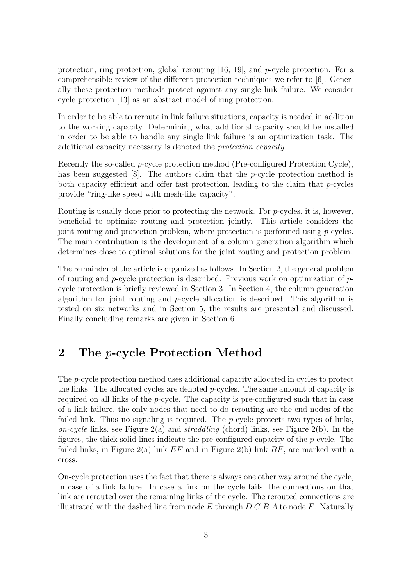protection, ring protection, global rerouting [16, 19], and p-cycle protection. For a comprehensible review of the different protection techniques we refer to [6]. Generally these protection methods protect against any single link failure. We consider cycle protection [13] as an abstract model of ring protection.

In order to be able to reroute in link failure situations, capacity is needed in addition to the working capacity. Determining what additional capacity should be installed in order to be able to handle any single link failure is an optimization task. The additional capacity necessary is denoted the protection capacity.

Recently the so-called p-cycle protection method (Pre-configured Protection Cycle), has been suggested [8]. The authors claim that the *p*-cycle protection method is both capacity efficient and offer fast protection, leading to the claim that p-cycles provide "ring-like speed with mesh-like capacity".

Routing is usually done prior to protecting the network. For p-cycles, it is, however, beneficial to optimize routing and protection jointly. This article considers the joint routing and protection problem, where protection is performed using p-cycles. The main contribution is the development of a column generation algorithm which determines close to optimal solutions for the joint routing and protection problem.

The remainder of the article is organized as follows. In Section 2, the general problem of routing and p-cycle protection is described. Previous work on optimization of  $p$ cycle protection is briefly reviewed in Section 3. In Section 4, the column generation algorithm for joint routing and  $p$ -cycle allocation is described. This algorithm is tested on six networks and in Section 5, the results are presented and discussed. Finally concluding remarks are given in Section 6.

## **2 The** p**-cycle Protection Method**

The p-cycle protection method uses additional capacity allocated in cycles to protect the links. The allocated cycles are denoted  $p$ -cycles. The same amount of capacity is required on all links of the p-cycle. The capacity is pre-configured such that in case of a link failure, the only nodes that need to do rerouting are the end nodes of the failed link. Thus no signaling is required. The  $p$ -cycle protects two types of links, on-cycle links, see Figure  $2(a)$  and straddling (chord) links, see Figure  $2(b)$ . In the figures, the thick solid lines indicate the pre-configured capacity of the  $p$ -cycle. The failed links, in Figure 2(a) link  $EF$  and in Figure 2(b) link  $BF$ , are marked with a cross.

On-cycle protection uses the fact that there is always one other way around the cycle, in case of a link failure. In case a link on the cycle fails, the connections on that link are rerouted over the remaining links of the cycle. The rerouted connections are illustrated with the dashed line from node E through  $D C B A$  to node F. Naturally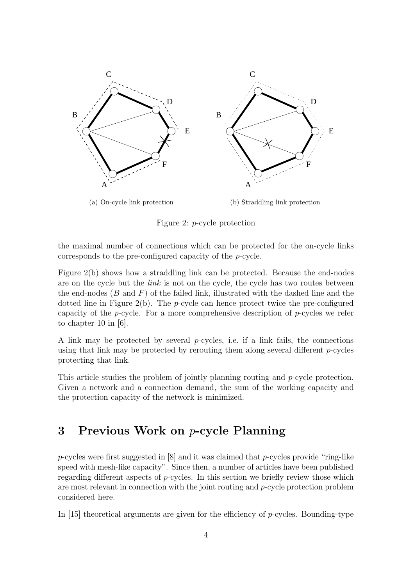

Figure 2: p-cycle protection

the maximal number of connections which can be protected for the on-cycle links corresponds to the pre-configured capacity of the p-cycle.

Figure 2(b) shows how a straddling link can be protected. Because the end-nodes are on the cycle but the link is not on the cycle, the cycle has two routes between the end-nodes  $(B \text{ and } F)$  of the failed link, illustrated with the dashed line and the dotted line in Figure  $2(b)$ . The *p*-cycle can hence protect twice the pre-configured capacity of the *p*-cycle. For a more comprehensive description of *p*-cycles we refer to chapter 10 in [6].

A link may be protected by several  $p$ -cycles, i.e. if a link fails, the connections using that link may be protected by rerouting them along several different  $p$ -cycles protecting that link.

This article studies the problem of jointly planning routing and p-cycle protection. Given a network and a connection demand, the sum of the working capacity and the protection capacity of the network is minimized.

# **3 Previous Work on** p**-cycle Planning**

p-cycles were first suggested in [8] and it was claimed that p-cycles provide "ring-like speed with mesh-like capacity". Since then, a number of articles have been published regarding different aspects of p-cycles. In this section we briefly review those which are most relevant in connection with the joint routing and  $p$ -cycle protection problem considered here.

In [15] theoretical arguments are given for the efficiency of p-cycles. Bounding-type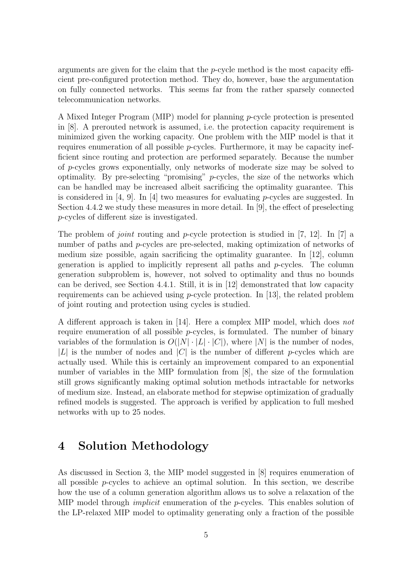arguments are given for the claim that the  $p$ -cycle method is the most capacity efficient pre-configured protection method. They do, however, base the argumentation on fully connected networks. This seems far from the rather sparsely connected telecommunication networks.

A Mixed Integer Program (MIP) model for planning p-cycle protection is presented in [8]. A prerouted network is assumed, i.e. the protection capacity requirement is minimized given the working capacity. One problem with the MIP model is that it requires enumeration of all possible  $p$ -cycles. Furthermore, it may be capacity inefficient since routing and protection are performed separately. Because the number of p-cycles grows exponentially, only networks of moderate size may be solved to optimality. By pre-selecting "promising"  $p$ -cycles, the size of the networks which can be handled may be increased albeit sacrificing the optimality guarantee. This is considered in [4, 9]. In [4] two measures for evaluating *p*-cycles are suggested. In Section 4.4.2 we study these measures in more detail. In [9], the effect of preselecting p-cycles of different size is investigated.

The problem of *joint* routing and *p*-cycle protection is studied in [7, 12]. In [7] a number of paths and *p*-cycles are pre-selected, making optimization of networks of medium size possible, again sacrificing the optimality guarantee. In [12], column generation is applied to implicitly represent all paths and  $p$ -cycles. The column generation subproblem is, however, not solved to optimality and thus no bounds can be derived, see Section 4.4.1. Still, it is in [12] demonstrated that low capacity requirements can be achieved using *p*-cycle protection. In [13], the related problem of joint routing and protection using cycles is studied.

A different approach is taken in [14]. Here a complex MIP model, which does not require enumeration of all possible  $p$ -cycles, is formulated. The number of binary variables of the formulation is  $O(|N|\cdot|L|\cdot|C|)$ , where |N| is the number of nodes, |L| is the number of nodes and |C| is the number of different p-cycles which are actually used. While this is certainly an improvement compared to an exponential number of variables in the MIP formulation from [8], the size of the formulation still grows significantly making optimal solution methods intractable for networks of medium size. Instead, an elaborate method for stepwise optimization of gradually refined models is suggested. The approach is verified by application to full meshed networks with up to 25 nodes.

## **4 Solution Methodology**

As discussed in Section 3, the MIP model suggested in [8] requires enumeration of all possible  $p$ -cycles to achieve an optimal solution. In this section, we describe how the use of a column generation algorithm allows us to solve a relaxation of the MIP model through *implicit* enumeration of the  $p$ -cycles. This enables solution of the LP-relaxed MIP model to optimality generating only a fraction of the possible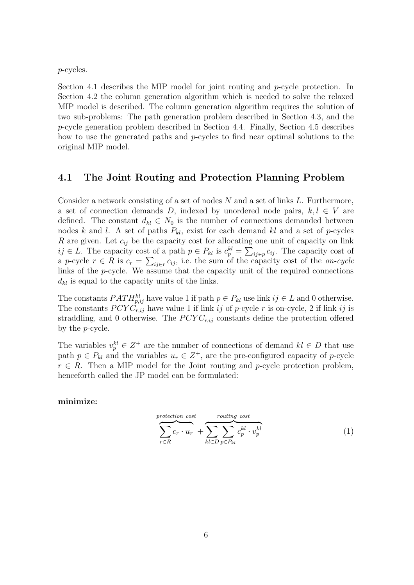p-cycles.

Section 4.1 describes the MIP model for joint routing and p-cycle protection. In Section 4.2 the column generation algorithm which is needed to solve the relaxed MIP model is described. The column generation algorithm requires the solution of two sub-problems: The path generation problem described in Section 4.3, and the p-cycle generation problem described in Section 4.4. Finally, Section 4.5 describes how to use the generated paths and p-cycles to find near optimal solutions to the original MIP model.

### **4.1 The Joint Routing and Protection Planning Problem**

Consider a network consisting of a set of nodes  $N$  and a set of links  $L$ . Furthermore, a set of connection demands D, indexed by unordered node pairs,  $k, l \in V$  are defined. The constant  $d_{kl} \in N_0$  is the number of connections demanded between nodes k and l. A set of paths  $P_{kl}$ , exist for each demand kl and a set of p-cycles R are given. Let  $c_{ij}$  be the capacity cost for allocating one unit of capacity on link ij ∈ L. The capacity cost of a path  $p \in P_{kl}$  is  $c_p^{kl} = \sum_{ij \in p} c_{ij}$ . The capacity cost of a p-cycle  $r \in R$  is  $c_r = \sum_{ij \in r} c_{ij}$ , i.e. the sum of the capacity cost of the on-cycle links of the p-cycle. We assume that the capacity unit of the required connections  $d_{kl}$  is equal to the capacity units of the links.

The constants  $PATH_{p,ij}^{kl}$  have value 1 if path  $p \in P_{kl}$  use link  $ij \in L$  and 0 otherwise. The constants  $PCYC_{r,ij}$  have value 1 if link ij of p-cycle r is on-cycle, 2 if link ij is straddling, and 0 otherwise. The  $PCYC_{r,ij}$  constants define the protection offered by the p-cycle.

The variables  $v_p^{kl} \in Z^+$  are the number of connections of demand  $kl \in D$  that use path  $p \in P_{kl}$  and the variables  $u_r \in Z^+$ , are the pre-configured capacity of p-cycle  $r \in R$ . Then a MIP model for the Joint routing and p-cycle protection problem, henceforth called the JP model can be formulated:

**minimize:**

$$
\underbrace{\sum_{r \in R} c_r \cdot u_r}_{kl \in D} + \underbrace{\sum_{kl \in D} \sum_{p \in P_{kl}} c_p^{kl} \cdot v_p^{kl}}_{l}
$$
 (1)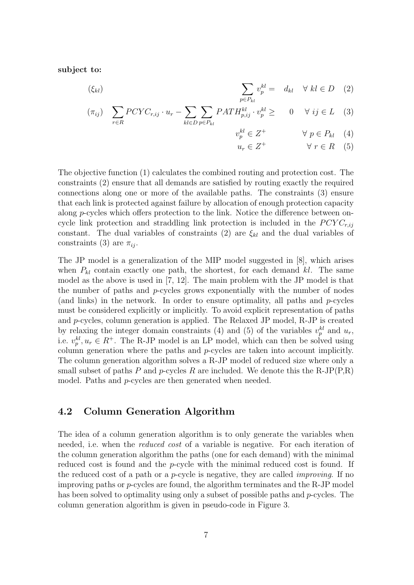**subject to:**

$$
\sum_{p \in P_{kl}} v_p^{kl} = d_{kl} \quad \forall \ kl \in D \quad (2)
$$

$$
(\pi_{ij}) \quad \sum_{r \in R} PCYC_{r,ij} \cdot u_r - \sum_{kl \in D} \sum_{p \in P_{kl}} PATH_{p,ij}^{kl} \cdot v_p^{kl} \geq 0 \quad \forall \; ij \in L \quad (3)
$$

$$
v_p^{kl} \in Z^+ \qquad \qquad \forall \ p \in P_{kl} \quad (4)
$$

$$
u_r \in Z^+ \qquad \qquad \forall \ r \in R \quad (5)
$$

The objective function (1) calculates the combined routing and protection cost. The constraints (2) ensure that all demands are satisfied by routing exactly the required connections along one or more of the available paths. The constraints (3) ensure that each link is protected against failure by allocation of enough protection capacity along p-cycles which offers protection to the link. Notice the difference between oncycle link protection and straddling link protection is included in the  $PCYC_{r,ij}$ constant. The dual variables of constraints (2) are  $\xi_{kl}$  and the dual variables of constraints (3) are  $\pi_{ij}$ .

The JP model is a generalization of the MIP model suggested in [8], which arises when  $P_{kl}$  contain exactly one path, the shortest, for each demand kl. The same model as the above is used in [7, 12]. The main problem with the JP model is that the number of paths and  $p$ -cycles grows exponentially with the number of nodes (and links) in the network. In order to ensure optimality, all paths and  $p$ -cycles must be considered explicitly or implicitly. To avoid explicit representation of paths and p-cycles, column generation is applied. The Relaxed JP model, R-JP is created by relaxing the integer domain constraints (4) and (5) of the variables  $v_p^{kl}$  and  $u_r$ , i.e.  $v_p^{kl}, u_r \in R^+$ . The R-JP model is an LP model, which can then be solved using column generation where the paths and  $p$ -cycles are taken into account implicitly. The column generation algorithm solves a R-JP model of reduced size where only a small subset of paths P and p-cycles R are included. We denote this the R-JP(P,R) model. Paths and *p*-cycles are then generated when needed.

### **4.2 Column Generation Algorithm**

The idea of a column generation algorithm is to only generate the variables when needed, i.e. when the reduced cost of a variable is negative. For each iteration of the column generation algorithm the paths (one for each demand) with the minimal reduced cost is found and the *p*-cycle with the minimal reduced cost is found. If the reduced cost of a path or a *p*-cycle is negative, they are called *improving*. If no improving paths or p-cycles are found, the algorithm terminates and the R-JP model has been solved to optimality using only a subset of possible paths and *p*-cycles. The column generation algorithm is given in pseudo-code in Figure 3.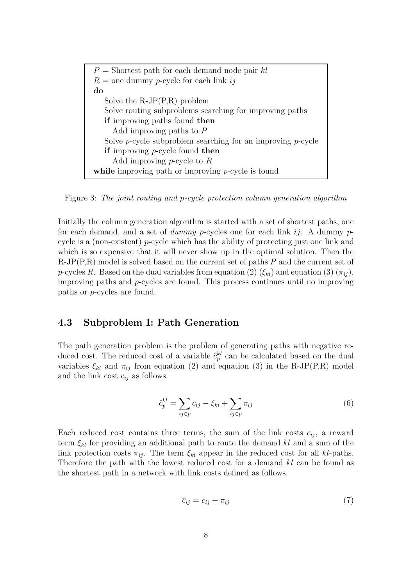| $P =$ Shortest path for each demand node pair kl                  |
|-------------------------------------------------------------------|
| $R =$ one dummy p-cycle for each link ij                          |
| do                                                                |
| Solve the $R-JP(P,R)$ problem                                     |
| Solve routing subproblems searching for improving paths           |
| if improving paths found then                                     |
| Add improving paths to $P$                                        |
| Solve $p$ -cycle subproblem searching for an improving $p$ -cycle |
| if improving $p$ -cycle found then                                |
| Add improving <i>p</i> -cycle to $R$                              |
| while improving path or improving $p$ -cycle is found             |

Figure 3: The joint routing and p-cycle protection column generation algorithm

Initially the column generation algorithm is started with a set of shortest paths, one for each demand, and a set of dummy p-cycles one for each link i. A dummy pcycle is a (non-existent)  $p$ -cycle which has the ability of protecting just one link and which is so expensive that it will never show up in the optimal solution. Then the  $R-JP(P,R)$  model is solved based on the current set of paths  $P$  and the current set of p-cycles R. Based on the dual variables from equation (2)  $(\xi_{kl})$  and equation (3)  $(\pi_{ij})$ , improving paths and p-cycles are found. This process continues until no improving paths or p-cycles are found.

## **4.3 Subproblem I: Path Generation**

The path generation problem is the problem of generating paths with negative reduced cost. The reduced cost of a variable  $\hat{c}_p^{kl}$  can be calculated based on the dual variables  $\xi_{kl}$  and  $\pi_{ij}$  from equation (2) and equation (3) in the R-JP(P,R) model and the link cost  $c_{ij}$  as follows.

$$
\hat{c}_p^{kl} = \sum_{ij \in p} c_{ij} - \xi_{kl} + \sum_{ij \in p} \pi_{ij} \tag{6}
$$

Each reduced cost contains three terms, the sum of the link costs  $c_{ii}$ , a reward term  $\xi_{kl}$  for providing an additional path to route the demand kl and a sum of the link protection costs  $\pi_{ii}$ . The term  $\xi_{kl}$  appear in the reduced cost for all kl-paths. Therefore the path with the lowest reduced cost for a demand kl can be found as the shortest path in a network with link costs defined as follows.

$$
\overline{c}_{ij} = c_{ij} + \pi_{ij} \tag{7}
$$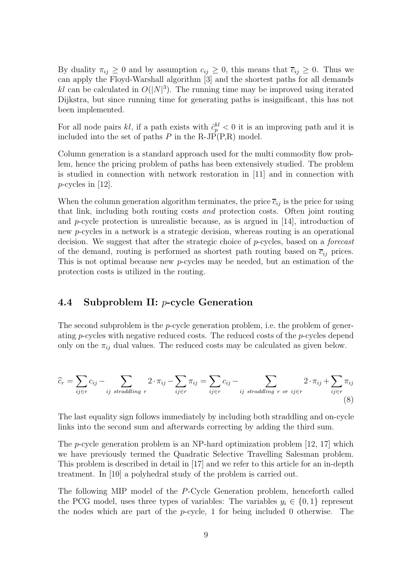By duality  $\pi_{ij} \geq 0$  and by assumption  $c_{ij} \geq 0$ , this means that  $\overline{c}_{ij} \geq 0$ . Thus we can apply the Floyd-Warshall algorithm [3] and the shortest paths for all demands kl can be calculated in  $O(|N|^3)$ . The running time may be improved using iterated Dijkstra, but since running time for generating paths is insignificant, this has not been implemented.

For all node pairs kl, if a path exists with  $\hat{c}_p^{kl} < 0$  it is an improving path and it is included into the set of paths  $P$  in the R-JP(P,R) model.

Column generation is a standard approach used for the multi commodity flow problem, hence the pricing problem of paths has been extensively studied. The problem is studied in connection with network restoration in [11] and in connection with  $p$ -cycles in [12].

When the column generation algorithm terminates, the price  $\overline{c}_{ij}$  is the price for using that link, including both routing costs and protection costs. Often joint routing and  $p$ -cycle protection is unrealistic because, as is argued in [14], introduction of new p-cycles in a network is a strategic decision, whereas routing is an operational decision. We suggest that after the strategic choice of  $p$ -cycles, based on a *forecast* of the demand, routing is performed as shortest path routing based on  $\overline{c}_{ij}$  prices. This is not optimal because new p-cycles may be needed, but an estimation of the protection costs is utilized in the routing.

### **4.4 Subproblem II:** p**-cycle Generation**

The second subproblem is the  $p$ -cycle generation problem, i.e. the problem of generating p-cycles with negative reduced costs. The reduced costs of the p-cycles depend only on the  $\pi_{ij}$  dual values. The reduced costs may be calculated as given below.

$$
\widehat{c}_r = \sum_{ij \in r} c_{ij} - \sum_{ij \;straddling \; r} 2 \cdot \pi_{ij} - \sum_{ij \in r} \pi_{ij} = \sum_{ij \in r} c_{ij} - \sum_{ij \;straddling \; r \; or \; ij \in r} 2 \cdot \pi_{ij} + \sum_{ij \in r} \pi_{ij}
$$
\n(8)

The last equality sign follows immediately by including both straddling and on-cycle links into the second sum and afterwards correcting by adding the third sum.

The *p*-cycle generation problem is an NP-hard optimization problem  $[12, 17]$  which we have previously termed the Quadratic Selective Travelling Salesman problem. This problem is described in detail in [17] and we refer to this article for an in-depth treatment. In [10] a polyhedral study of the problem is carried out.

The following MIP model of the P-Cycle Generation problem, henceforth called the PCG model, uses three types of variables: The variables  $y_i \in \{0, 1\}$  represent the nodes which are part of the  $p$ -cycle, 1 for being included 0 otherwise. The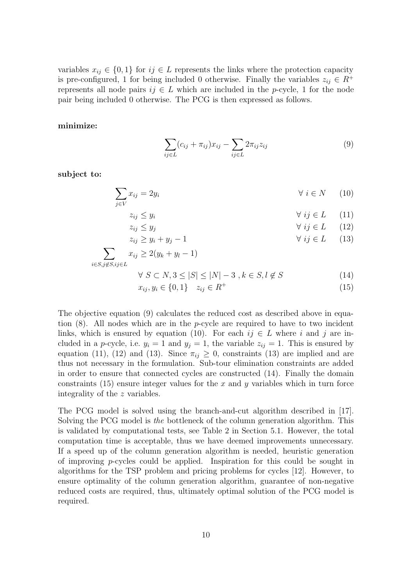variables  $x_{ij} \in \{0,1\}$  for  $ij \in L$  represents the links where the protection capacity is pre-configured, 1 for being included 0 otherwise. Finally the variables  $z_{ij} \in R^+$ represents all node pairs  $ij \in L$  which are included in the p-cycle, 1 for the node pair being included 0 otherwise. The PCG is then expressed as follows.

#### **minimize:**

$$
\sum_{ij \in L} (c_{ij} + \pi_{ij}) x_{ij} - \sum_{ij \in L} 2\pi_{ij} z_{ij}
$$
\n(9)

**subject to:**

$$
\sum_{j \in V} x_{ij} = 2y_i \qquad \forall \ i \in N \qquad (10)
$$

- $z_{ij} \leq y_i$   $\forall$  ij  $\in L$  (11)
- $z_{ij} \leq y_j$   $\forall$  ij  $\in L$  (12)  $z_{ij} \ge y_i + y_j - 1$   $\forall ij \in L$  (13)

$$
\sum_{i \in S, j \notin S, ij \in L} x_{ij} \ge 2(y_k + y_l - 1)
$$
\n
$$
\forall S \subset N, 3 < |S| < |N| - 3, \quad k \subset S, 1 \neq S \tag{14}
$$

$$
\forall S \subset N, 3 \le |S| \le |N| - 3, k \in S, l \notin S \tag{14}
$$

$$
x_{ij}, y_i \in \{0, 1\} \quad z_{ij} \in R^+ \tag{15}
$$

The objective equation (9) calculates the reduced cost as described above in equation  $(8)$ . All nodes which are in the *p*-cycle are required to have to two incident links, which is ensured by equation (10). For each  $ij \in L$  where i and j are included in a p-cycle, i.e.  $y_i = 1$  and  $y_j = 1$ , the variable  $z_{ij} = 1$ . This is ensured by equation (11), (12) and (13). Since  $\pi_{ij} \geq 0$ , constraints (13) are implied and are thus not necessary in the formulation. Sub-tour elimination constraints are added in order to ensure that connected cycles are constructed (14). Finally the domain constraints (15) ensure integer values for the x and  $\gamma$  variables which in turn force integrality of the z variables.

The PCG model is solved using the branch-and-cut algorithm described in [17]. Solving the PCG model is the bottleneck of the column generation algorithm. This is validated by computational tests, see Table 2 in Section 5.1. However, the total computation time is acceptable, thus we have deemed improvements unnecessary. If a speed up of the column generation algorithm is needed, heuristic generation of improving  $p$ -cycles could be applied. Inspiration for this could be sought in algorithms for the TSP problem and pricing problems for cycles [12]. However, to ensure optimality of the column generation algorithm, guarantee of non-negative reduced costs are required, thus, ultimately optimal solution of the PCG model is required.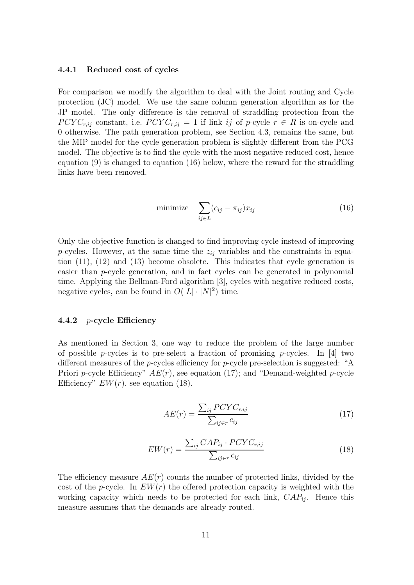#### **4.4.1 Reduced cost of cycles**

For comparison we modify the algorithm to deal with the Joint routing and Cycle protection (JC) model. We use the same column generation algorithm as for the JP model. The only difference is the removal of straddling protection from the  $PCYC_{r,ij}$  constant, i.e.  $PCYC_{r,ij} = 1$  if link ij of p-cycle  $r \in R$  is on-cycle and 0 otherwise. The path generation problem, see Section 4.3, remains the same, but the MIP model for the cycle generation problem is slightly different from the PCG model. The objective is to find the cycle with the most negative reduced cost, hence equation (9) is changed to equation (16) below, where the reward for the straddling links have been removed.

$$
\text{minimize} \quad \sum_{ij \in L} (c_{ij} - \pi_{ij}) x_{ij} \tag{16}
$$

Only the objective function is changed to find improving cycle instead of improving p-cycles. However, at the same time the  $z_{ij}$  variables and the constraints in equation (11), (12) and (13) become obsolete. This indicates that cycle generation is easier than p-cycle generation, and in fact cycles can be generated in polynomial time. Applying the Bellman-Ford algorithm [3], cycles with negative reduced costs, negative cycles, can be found in  $O(|L| \cdot |N|^2)$  time.

#### **4.4.2** p**-cycle Efficiency**

As mentioned in Section 3, one way to reduce the problem of the large number of possible *p*-cycles is to pre-select a fraction of promising *p*-cycles. In [4] two different measures of the *p*-cycles efficiency for *p*-cycle pre-selection is suggested: "A Priori *p*-cycle Efficiency"  $AE(r)$ , see equation (17); and "Demand-weighted *p*-cycle Efficiency"  $EW(r)$ , see equation (18).

$$
AE(r) = \frac{\sum_{ij} PCYC_{r,ij}}{\sum_{ij \in r} c_{ij}}
$$
\n(17)

$$
EW(r) = \frac{\sum_{ij} CAP_{ij} \cdot PCYC_{r,ij}}{\sum_{ij \in r} c_{ij}}
$$
\n(18)

The efficiency measure  $AE(r)$  counts the number of protected links, divided by the cost of the p-cycle. In  $EW(r)$  the offered protection capacity is weighted with the working capacity which needs to be protected for each link,  $CAP_{ij}$ . Hence this measure assumes that the demands are already routed.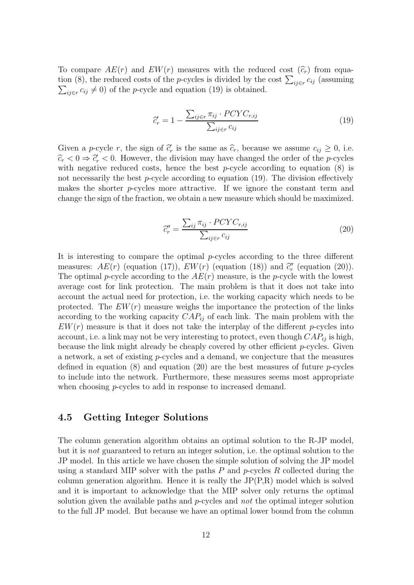To compare  $AE(r)$  and  $EW(r)$  measures with the reduced cost  $(\widehat{c}_r)$  from equation (8), the reduced costs of the *p*-cycles is divided by the cost  $\sum_{i,j \in r} c_{ij}$  (assuming  $\sum_{ij \in r} c_{ij} \neq 0$  of the p-cycle and equation (19) is obtained.

$$
\hat{c}'_r = 1 - \frac{\sum_{ij \in r} \pi_{ij} \cdot PCYC_{r,ij}}{\sum_{ij \in r} c_{ij}}
$$
\n(19)

Given a *p*-cycle r, the sign of  $\hat{c}_r$  is the same as  $\hat{c}_r$ , because we assume  $c_{ij} \geq 0$ , i.e.  $\widehat{c}_r < 0 \Rightarrow \widehat{c}'_r < 0$ . However, the division may have changed the order of the p-cycles with negative reduced costs, hence the best  $p$ -cycle according to equation (8) is not necessarily the best  $p$ -cycle according to equation (19). The division effectively makes the shorter p-cycles more attractive. If we ignore the constant term and change the sign of the fraction, we obtain a new measure which should be maximized.

$$
\hat{c}''_r = \frac{\sum_{ij} \pi_{ij} \cdot PCYC_{r,ij}}{\sum_{ij \in r} c_{ij}} \tag{20}
$$

It is interesting to compare the optimal  $p$ -cycles according to the three different measures:  $AE(r)$  (equation (17)),  $EW(r)$  (equation (18)) and  $\tilde{c}''_r$  (equation (20)). The optimal p-cycle according to the  $AE(r)$  measure, is the p-cycle with the lowest average cost for link protection. The main problem is that it does not take into account the actual need for protection, i.e. the working capacity which needs to be protected. The  $EW(r)$  measure weighs the importance the protection of the links according to the working capacity  $CAP_{ij}$  of each link. The main problem with the  $EW(r)$  measure is that it does not take the interplay of the different p-cycles into account, i.e. a link may not be very interesting to protect, even though  $CAP_{ij}$  is high, because the link might already be cheaply covered by other efficient p-cycles. Given a network, a set of existing p-cycles and a demand, we conjecture that the measures defined in equation (8) and equation (20) are the best measures of future  $p$ -cycles to include into the network. Furthermore, these measures seems most appropriate when choosing *p*-cycles to add in response to increased demand.

### **4.5 Getting Integer Solutions**

The column generation algorithm obtains an optimal solution to the R-JP model, but it is not guaranteed to return an integer solution, i.e. the optimal solution to the JP model. In this article we have chosen the simple solution of solving the JP model using a standard MIP solver with the paths  $P$  and  $p$ -cycles  $R$  collected during the column generation algorithm. Hence it is really the JP(P,R) model which is solved and it is important to acknowledge that the MIP solver only returns the optimal solution given the available paths and  $p$ -cycles and not the optimal integer solution to the full JP model. But because we have an optimal lower bound from the column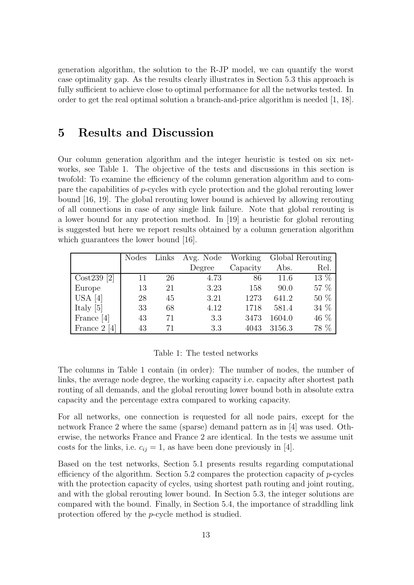generation algorithm, the solution to the R-JP model, we can quantify the worst case optimality gap. As the results clearly illustrates in Section 5.3 this approach is fully sufficient to achieve close to optimal performance for all the networks tested. In order to get the real optimal solution a branch-and-price algorithm is needed [1, 18].

## **5 Results and Discussion**

Our column generation algorithm and the integer heuristic is tested on six networks, see Table 1. The objective of the tests and discussions in this section is twofold: To examine the efficiency of the column generation algorithm and to compare the capabilities of p-cycles with cycle protection and the global rerouting lower bound [16, 19]. The global rerouting lower bound is achieved by allowing rerouting of all connections in case of any single link failure. Note that global rerouting is a lower bound for any protection method. In [19] a heuristic for global rerouting is suggested but here we report results obtained by a column generation algorithm which guarantees the lower bound [16].

|                              |    |    | Nodes Links Avg. Node Working |          |        | Global Rerouting |
|------------------------------|----|----|-------------------------------|----------|--------|------------------|
|                              |    |    | Degree                        | Capacity | Abs.   | Rel.             |
| $\cos 239$ [2]               | 11 | 26 | 4.73                          | 86       | 11.6   | 13 %             |
| Europe                       | 13 | 21 | 3.23                          | 158      | 90.0   | 57 %             |
| $\vert$ USA [4]              | 28 | 45 | 3.21                          | 1273     | 641.2  | 50 %             |
| Italy [5]                    | 33 | 68 | 4.12                          | 1718     | 581.4  | 34 %             |
| France [4]                   | 43 | 71 | 3.3                           | 3473     | 1604.0 | 46 %             |
| France $2 \lfloor 4 \rfloor$ | 43 | 71 | 3.3                           | 4043     | 3156.3 | 78 %             |

#### Table 1: The tested networks

The columns in Table 1 contain (in order): The number of nodes, the number of links, the average node degree, the working capacity i.e. capacity after shortest path routing of all demands, and the global rerouting lower bound both in absolute extra capacity and the percentage extra compared to working capacity.

For all networks, one connection is requested for all node pairs, except for the network France 2 where the same (sparse) demand pattern as in [4] was used. Otherwise, the networks France and France 2 are identical. In the tests we assume unit costs for the links, i.e.  $c_{ij} = 1$ , as have been done previously in [4].

Based on the test networks, Section 5.1 presents results regarding computational efficiency of the algorithm. Section 5.2 compares the protection capacity of p-cycles with the protection capacity of cycles, using shortest path routing and joint routing, and with the global rerouting lower bound. In Section 5.3, the integer solutions are compared with the bound. Finally, in Section 5.4, the importance of straddling link protection offered by the p-cycle method is studied.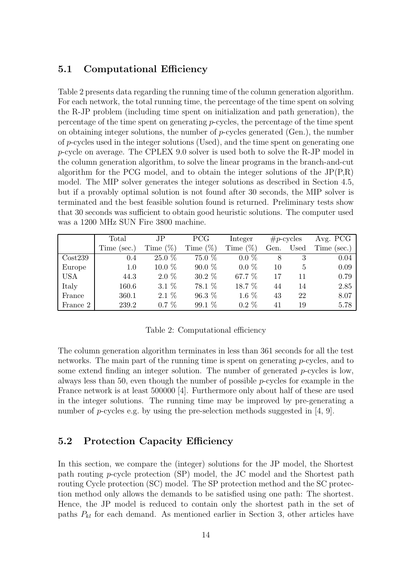## **5.1 Computational Efficiency**

Table 2 presents data regarding the running time of the column generation algorithm. For each network, the total running time, the percentage of the time spent on solving the R-JP problem (including time spent on initialization and path generation), the percentage of the time spent on generating  $p$ -cycles, the percentage of the time spent on obtaining integer solutions, the number of  $p$ -cycles generated (Gen.), the number of p-cycles used in the integer solutions (Used), and the time spent on generating one p-cycle on average. The CPLEX 9.0 solver is used both to solve the R-JP model in the column generation algorithm, to solve the linear programs in the branch-and-cut algorithm for the PCG model, and to obtain the integer solutions of the  $JP(P,R)$ model. The MIP solver generates the integer solutions as described in Section 4.5, but if a provably optimal solution is not found after 30 seconds, the MIP solver is terminated and the best feasible solution found is returned. Preliminary tests show that 30 seconds was sufficient to obtain good heuristic solutions. The computer used was a 1200 MHz SUN Fire 3800 machine.

|          | Total       | $_{\rm JP}$ | <b>PCG</b>  | Integer     |      | $\#p\text{-cycles}$ | Avg. PCG    |
|----------|-------------|-------------|-------------|-------------|------|---------------------|-------------|
|          | Time (sec.) | Time $(\%)$ | Time $(\%)$ | Time $(\%)$ | Gen. | Used                | Time (sec.) |
| Cost239  | 0.4         | $25.0\%$    | 75.0 %      | $0.0\%$     | 8    |                     | 0.04        |
| Europe   | 1.0         | $10.0 \%$   | $90.0\%$    | $0.0\%$     | 10   | 5                   | 0.09        |
| USA      | 44.3        | $2.0\%$     | $30.2\%$    | 67.7 %      | 17   | 11                  | 0.79        |
| Italy    | 160.6       | $3.1\%$     | 78.1 %      | 18.7 %      | 44   | 14                  | 2.85        |
| France   | 360.1       | $2.1\%$     | 96.3 %      | 1.6 $%$     | 43   | 22                  | 8.07        |
| France 2 | 239.2       | $0.7\%$     | 99.1 %      | $0.2\%$     | 41   | 19                  | 5.78        |

Table 2: Computational efficiency

The column generation algorithm terminates in less than 361 seconds for all the test networks. The main part of the running time is spent on generating p-cycles, and to some extend finding an integer solution. The number of generated p-cycles is low, always less than 50, even though the number of possible  $p$ -cycles for example in the France network is at least 500000 [4]. Furthermore only about half of these are used in the integer solutions. The running time may be improved by pre-generating a number of p-cycles e.g. by using the pre-selection methods suggested in [4, 9].

## **5.2 Protection Capacity Efficiency**

In this section, we compare the (integer) solutions for the JP model, the Shortest path routing p-cycle protection (SP) model, the JC model and the Shortest path routing Cycle protection (SC) model. The SP protection method and the SC protection method only allows the demands to be satisfied using one path: The shortest. Hence, the JP model is reduced to contain only the shortest path in the set of paths  $P_{kl}$  for each demand. As mentioned earlier in Section 3, other articles have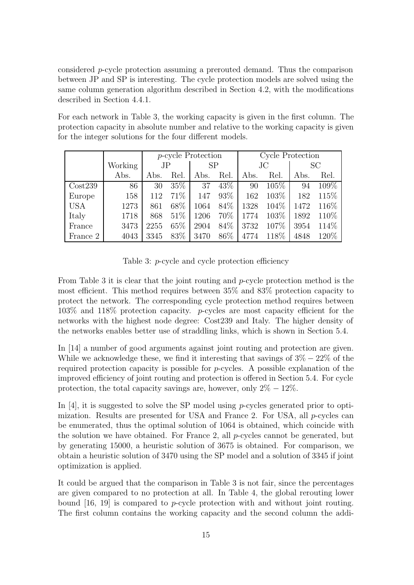considered p-cycle protection assuming a prerouted demand. Thus the comparison between JP and SP is interesting. The cycle protection models are solved using the same column generation algorithm described in Section 4.2, with the modifications described in Section 4.4.1.

For each network in Table 3, the working capacity is given in the first column. The protection capacity in absolute number and relative to the working capacity is given for the integer solutions for the four different models.

|            |         | <i>p</i> -cycle Protection |      |           |      | Cycle Protection |       |           |       |
|------------|---------|----------------------------|------|-----------|------|------------------|-------|-----------|-------|
|            | Working | JP.                        |      | <b>SP</b> |      | $\rm JC$         |       | <b>SC</b> |       |
|            | Abs.    | Abs.                       | Rel. | Abs.      | Rel. | Abs.             | Rel.  | Abs.      | Rel.  |
| Cost239    | 86      | 30                         | 35\% | 37        | 43\% | 90               | 105\% | 94        | 109%  |
| Europe     | 158     | 112                        | 71\% | 147       | 93\% | 162              | 103\% | 182       | 115\% |
| <b>USA</b> | 1273    | 861                        | 68\% | 1064      | 84\% | 1328             | 104\% | 1472      | 116\% |
| Italy      | 1718    | 868                        | 51\% | 1206      | 70\% | 1774             | 103\% | 1892      | 110\% |
| France     | 3473    | 2255                       | 65%  | 2904      | 84\% | 3732             | 107%  | 3954      | 114\% |
| France 2   | 4043    | 3345                       | 83\% | 3470      | 86\% | 4774             | 118\% | 4848      | 120\% |

Table 3: p-cycle and cycle protection efficiency

From Table 3 it is clear that the joint routing and  $p$ -cycle protection method is the most efficient. This method requires between 35% and 83% protection capacity to protect the network. The corresponding cycle protection method requires between 103% and 118% protection capacity. p-cycles are most capacity efficient for the networks with the highest node degree: Cost239 and Italy. The higher density of the networks enables better use of straddling links, which is shown in Section 5.4.

In [14] a number of good arguments against joint routing and protection are given. While we acknowledge these, we find it interesting that savings of  $3\% - 22\%$  of the required protection capacity is possible for  $p$ -cycles. A possible explanation of the improved efficiency of joint routing and protection is offered in Section 5.4. For cycle protection, the total capacity savings are, however, only  $2\% - 12\%$ .

In [4], it is suggested to solve the SP model using p-cycles generated prior to optimization. Results are presented for USA and France 2. For USA, all p-cycles can be enumerated, thus the optimal solution of 1064 is obtained, which coincide with the solution we have obtained. For France 2, all  $p$ -cycles cannot be generated, but by generating 15000, a heuristic solution of 3675 is obtained. For comparison, we obtain a heuristic solution of 3470 using the SP model and a solution of 3345 if joint optimization is applied.

It could be argued that the comparison in Table 3 is not fair, since the percentages are given compared to no protection at all. In Table 4, the global rerouting lower bound [16, 19] is compared to p-cycle protection with and without joint routing. The first column contains the working capacity and the second column the addi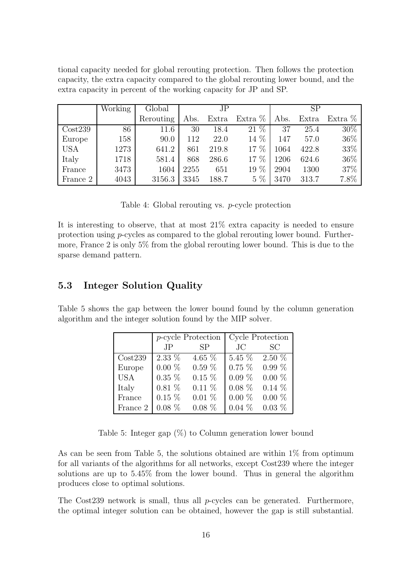tional capacity needed for global rerouting protection. Then follows the protection capacity, the extra capacity compared to the global rerouting lower bound, and the extra capacity in percent of the working capacity for JP and SP.

|            | Working | Global    | JP   |       |           | SP   |       |         |
|------------|---------|-----------|------|-------|-----------|------|-------|---------|
|            |         | Rerouting | Abs. | Extra | Extra $%$ | Abs. | Extra | Extra % |
| Cost239    | 86      | 11.6      | 30   | 18.4  | $21\%$    | 37   | 25.4  | $30\%$  |
| Europe     | 158     | 90.0      | 112  | 22.0  | 14 %      | 147  | 57.0  | 36\%    |
| <b>USA</b> | 1273    | 641.2     | 861  | 219.8 | 17 %      | 1064 | 422.8 | 33%     |
| Italy      | 1718    | 581.4     | 868  | 286.6 | 17 %      | 1206 | 624.6 | 36\%    |
| France     | 3473    | 1604      | 2255 | 651   | 19 %      | 2904 | 1300  | 37%     |
| France 2   | 4043    | 3156.3    | 3345 | 188.7 | $5\%$     | 3470 | 313.7 | 7.8%    |

It is interesting to observe, that at most 21% extra capacity is needed to ensure protection using p-cycles as compared to the global rerouting lower bound. Furthermore, France 2 is only 5% from the global rerouting lower bound. This is due to the sparse demand pattern.

## **5.3 Integer Solution Quality**

Table 5 shows the gap between the lower bound found by the column generation algorithm and the integer solution found by the MIP solver.

|            |          | <i>p</i> -cycle Protection |          | Cycle Protection   |
|------------|----------|----------------------------|----------|--------------------|
|            | JP       | <b>SP</b>                  | $\rm JC$ | - SC               |
| Cost239    | $2.33\%$ | 4.65 $%$                   |          | $5.45\%$ 2.50 $\%$ |
| Europe     | $0.00\%$ | $0.59\%$                   | $0.75\%$ | $0.99\%$           |
| <b>USA</b> | $0.35\%$ | $0.15\%$                   | $0.09\%$ | $0.00\%$           |
| Italy      | $0.81\%$ | $0.11\%$                   | $0.08\%$ | $0.14\%$           |
| France     | $0.15\%$ | $0.01\%$                   | $0.00\%$ | $0.00\%$           |
| France 2   | $0.08\%$ | $0.08\%$                   | $0.04\%$ | $0.03\%$           |

Table 5: Integer gap  $(\%)$  to Column generation lower bound

As can be seen from Table 5, the solutions obtained are within  $1\%$  from optimum for all variants of the algorithms for all networks, except Cost239 where the integer solutions are up to 5.45% from the lower bound. Thus in general the algorithm produces close to optimal solutions.

The Cost 239 network is small, thus all  $p$ -cycles can be generated. Furthermore, the optimal integer solution can be obtained, however the gap is still substantial.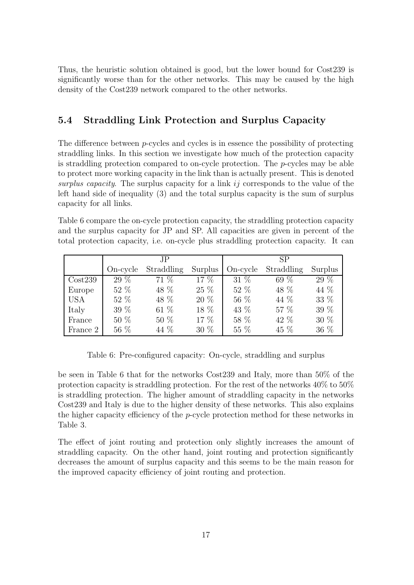Thus, the heuristic solution obtained is good, but the lower bound for Cost239 is significantly worse than for the other networks. This may be caused by the high density of the Cost239 network compared to the other networks.

## **5.4 Straddling Link Protection and Surplus Capacity**

The difference between p-cycles and cycles is in essence the possibility of protecting straddling links. In this section we investigate how much of the protection capacity is straddling protection compared to on-cycle protection. The  $p$ -cycles may be able to protect more working capacity in the link than is actually present. This is denoted surplus capacity. The surplus capacity for a link ij corresponds to the value of the left hand side of inequality (3) and the total surplus capacity is the sum of surplus capacity for all links.

Table 6 compare the on-cycle protection capacity, the straddling protection capacity and the surplus capacity for JP and SP. All capacities are given in percent of the total protection capacity, i.e. on-cycle plus straddling protection capacity. It can

|            |          | JP.        |         | SP       |            |         |  |
|------------|----------|------------|---------|----------|------------|---------|--|
|            | On-cycle | Straddling | Surplus | On-cycle | Straddling | Surplus |  |
| Cost239    | 29 %     | 71 %       | 17 %    | 31 %     | 69 %       | 29 %    |  |
| Europe     | 52 %     | 48 %       | 25 %    | 52 %     | 48 %       | 44 %    |  |
| <b>USA</b> | 52 %     | 48 %       | 20 %    | 56 %     | 44 %       | 33 %    |  |
| Italy      | 39 %     | 61 %       | 18 %    | 43 %     | 57 %       | 39 %    |  |
| France     | 50 %     | 50 %       | 17 %    | 58 %     | 42 %       | 30 %    |  |
| France 2   | 56 %     | 44 %       | 30 %    | 55 %     | 45 %       | 36 %    |  |

Table 6: Pre-configured capacity: On-cycle, straddling and surplus

be seen in Table 6 that for the networks Cost239 and Italy, more than 50% of the protection capacity is straddling protection. For the rest of the networks 40% to 50% is straddling protection. The higher amount of straddling capacity in the networks Cost239 and Italy is due to the higher density of these networks. This also explains the higher capacity efficiency of the p-cycle protection method for these networks in Table 3.

The effect of joint routing and protection only slightly increases the amount of straddling capacity. On the other hand, joint routing and protection significantly decreases the amount of surplus capacity and this seems to be the main reason for the improved capacity efficiency of joint routing and protection.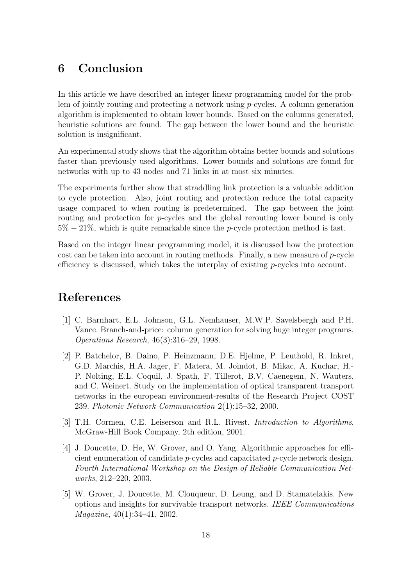## **6 Conclusion**

In this article we have described an integer linear programming model for the problem of jointly routing and protecting a network using p-cycles. A column generation algorithm is implemented to obtain lower bounds. Based on the columns generated, heuristic solutions are found. The gap between the lower bound and the heuristic solution is insignificant.

An experimental study shows that the algorithm obtains better bounds and solutions faster than previously used algorithms. Lower bounds and solutions are found for networks with up to 43 nodes and 71 links in at most six minutes.

The experiments further show that straddling link protection is a valuable addition to cycle protection. Also, joint routing and protection reduce the total capacity usage compared to when routing is predetermined. The gap between the joint routing and protection for p-cycles and the global rerouting lower bound is only  $5\% - 21\%$ , which is quite remarkable since the *p*-cycle protection method is fast.

Based on the integer linear programming model, it is discussed how the protection cost can be taken into account in routing methods. Finally, a new measure of p-cycle efficiency is discussed, which takes the interplay of existing p-cycles into account.

## **References**

- [1] C. Barnhart, E.L. Johnson, G.L. Nemhauser, M.W.P. Savelsbergh and P.H. Vance. Branch-and-price: column generation for solving huge integer programs. Operations Research, 46(3):316–29, 1998.
- [2] P. Batchelor, B. Daino, P. Heinzmann, D.E. Hjelme, P. Leuthold, R. Inkret, G.D. Marchis, H.A. Jager, F. Matera, M. Joindot, B. Mikac, A. Kuchar, H.- P. Nolting, E.L. Coquil, J. Spath, F. Tillerot, B.V. Caenegem, N. Wauters, and C. Weinert. Study on the implementation of optical transparent transport networks in the european environment-results of the Research Project COST 239. Photonic Network Communication 2(1):15–32, 2000.
- [3] T.H. Cormen, C.E. Leiserson and R.L. Rivest. Introduction to Algorithms. McGraw-Hill Book Company, 2th edition, 2001.
- [4] J. Doucette, D. He, W. Grover, and O. Yang. Algorithmic approaches for efficient enumeration of candidate p-cycles and capacitated p-cycle network design. Fourth International Workshop on the Design of Reliable Communication Networks, 212–220, 2003.
- [5] W. Grover, J. Doucette, M. Clouqueur, D. Leung, and D. Stamatelakis. New options and insights for survivable transport networks. IEEE Communications Magazine, 40(1):34–41, 2002.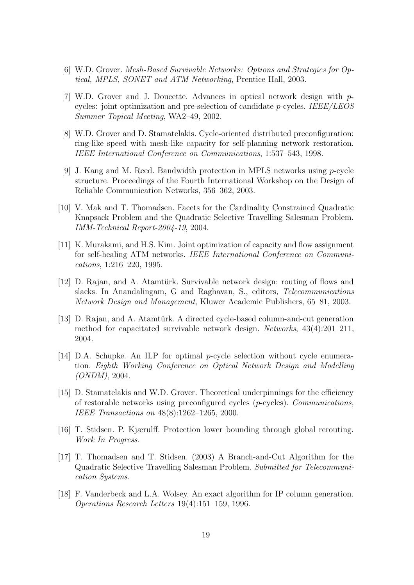- [6] W.D. Grover. Mesh-Based Survivable Networks: Options and Strategies for Optical, MPLS, SONET and ATM Networking, Prentice Hall, 2003.
- [7] W.D. Grover and J. Doucette. Advances in optical network design with  $p$ cycles: joint optimization and pre-selection of candidate  $p$ -cycles. IEEE/LEOS Summer Topical Meeting, WA2–49, 2002.
- [8] W.D. Grover and D. Stamatelakis. Cycle-oriented distributed preconfiguration: ring-like speed with mesh-like capacity for self-planning network restoration. IEEE International Conference on Communications, 1:537–543, 1998.
- [9] J. Kang and M. Reed. Bandwidth protection in MPLS networks using p-cycle structure. Proceedings of the Fourth International Workshop on the Design of Reliable Communication Networks, 356–362, 2003.
- [10] V. Mak and T. Thomadsen. Facets for the Cardinality Constrained Quadratic Knapsack Problem and the Quadratic Selective Travelling Salesman Problem. IMM-Technical Report-2004-19, 2004.
- [11] K. Murakami, and H.S. Kim. Joint optimization of capacity and flow assignment for self-healing ATM networks. IEEE International Conference on Communications, 1:216–220, 1995.
- [12] D. Rajan, and A. Atamtürk. Survivable network design: routing of flows and slacks. In Anandalingam, G and Raghavan, S., editors, Telecommunications Network Design and Management, Kluwer Academic Publishers, 65–81, 2003.
- [13] D. Rajan, and A. Atamtürk. A directed cycle-based column-and-cut generation method for capacitated survivable network design. Networks, 43(4):201–211, 2004.
- [14] D.A. Schupke. An ILP for optimal p-cycle selection without cycle enumeration. Eighth Working Conference on Optical Network Design and Modelling  $(ONDM)$ , 2004.
- [15] D. Stamatelakis and W.D. Grover. Theoretical underpinnings for the efficiency of restorable networks using preconfigured cycles (p-cycles). Communications, IEEE Transactions on 48(8):1262–1265, 2000.
- [16] T. Stidsen. P. Kjærulff. Protection lower bounding through global rerouting. Work In Progress.
- [17] T. Thomadsen and T. Stidsen. (2003) A Branch-and-Cut Algorithm for the Quadratic Selective Travelling Salesman Problem. Submitted for Telecommunication Systems.
- [18] F. Vanderbeck and L.A. Wolsey. An exact algorithm for IP column generation. Operations Research Letters 19(4):151–159, 1996.